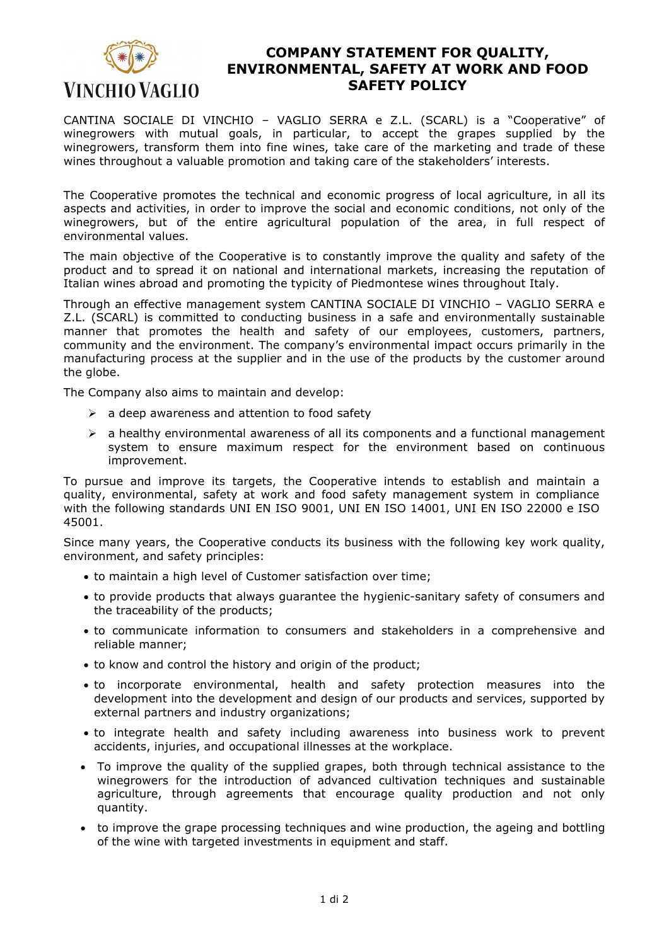

## **COMPANY STATEMENT FOR QUALITY, ENVIRONMENTAL, SAFETY AT WORK AND FOOD SAFETY POLICY**

CANTINA SOCIALE DI VINCHIO – VAGLIO SERRA e Z.L. (SCARL) is a "Cooperative" of winegrowers with mutual goals, in particular, to accept the grapes supplied by the winegrowers, transform them into fine wines, take care of the marketing and trade of these wines throughout a valuable promotion and taking care of the stakeholders' interests.

The Cooperative promotes the technical and economic progress of local agriculture, in all its aspects and activities, in order to improve the social and economic conditions, not only of the winegrowers, but of the entire agricultural population of the area, in full respect of environmental values.

The main objective of the Cooperative is to constantly improve the quality and safety of the product and to spread it on national and international markets, increasing the reputation of Italian wines abroad and promoting the typicity of Piedmontese wines throughout Italy.

Through an effective management system CANTINA SOCIALE DI VINCHIO – VAGLIO SERRA e Z.L. (SCARL) is committed to conducting business in a safe and environmentally sustainable manner that promotes the health and safety of our employees, customers, partners, community and the environment. The company's environmental impact occurs primarily in the manufacturing process at the supplier and in the use of the products by the customer around the globe.

The Company also aims to maintain and develop:

- $\triangleright$  a deep awareness and attention to food safety
- $\triangleright$  a healthy environmental awareness of all its components and a functional management system to ensure maximum respect for the environment based on continuous improvement.

To pursue and improve its targets, the Cooperative intends to establish and maintain a quality, environmental, safety at work and food safety management system in compliance with the following standards UNI EN ISO 9001, UNI EN ISO 14001, UNI EN ISO 22000 e ISO 45001.

Since many years, the Cooperative conducts its business with the following key work quality, environment, and safety principles:

- to maintain a high level of Customer satisfaction over time;
- to provide products that always guarantee the hygienic-sanitary safety of consumers and the traceability of the products;
- to communicate information to consumers and stakeholders in a comprehensive and reliable manner;
- to know and control the history and origin of the product;
- to incorporate environmental, health and safety protection measures into the development into the development and design of our products and services, supported by external partners and industry organizations;
- to integrate health and safety including awareness into business work to prevent accidents, injuries, and occupational illnesses at the workplace.
- To improve the quality of the supplied grapes, both through technical assistance to the winegrowers for the introduction of advanced cultivation techniques and sustainable agriculture, through agreements that encourage quality production and not only quantity.
- to improve the grape processing techniques and wine production, the ageing and bottling of the wine with targeted investments in equipment and staff.